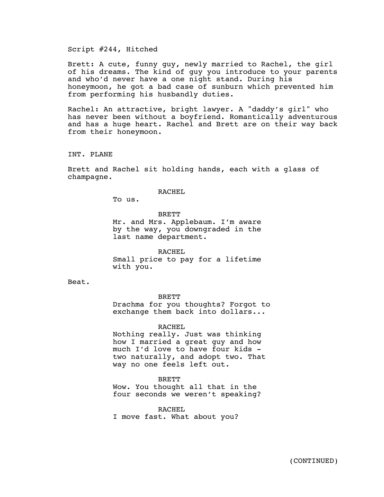Script #244, Hitched

Brett: A cute, funny guy, newly married to Rachel, the girl of his dreams. The kind of guy you introduce to your parents and who'd never have a one night stand. During his honeymoon, he got a bad case of sunburn which prevented him from performing his husbandly duties.

Rachel: An attractive, bright lawyer. A "daddy's girl" who has never been without a boyfriend. Romantically adventurous and has a huge heart. Rachel and Brett are on their way back from their honeymoon.

INT. PLANE

Brett and Rachel sit holding hands, each with a glass of champagne.

RACHEL

To us.

**BRETT** Mr. and Mrs. Applebaum. I'm aware by the way, you downgraded in the last name department.

RACHEL Small price to pay for a lifetime with you.

Beat.

BRETT

Drachma for you thoughts? Forgot to exchange them back into dollars...

RACHEL

Nothing really. Just was thinking how I married a great guy and how much I'd love to have four kids two naturally, and adopt two. That way no one feels left out.

BRETT

Wow. You thought all that in the four seconds we weren't speaking?

RACHEL I move fast. What about you?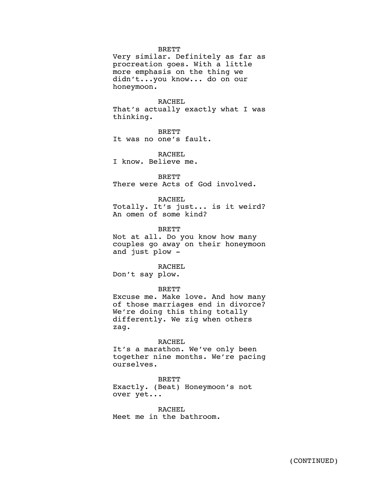## BRETT

Very similar. Definitely as far as procreation goes. With a little more emphasis on the thing we didn't...you know... do on our honeymoon.

RACHEL That's actually exactly what I was thinking.

BRETT

It was no one's fault.

RACHEL I know. Believe me.

BRETT There were Acts of God involved.

RACHEL Totally. It's just... is it weird?

**BRETT** 

An omen of some kind?

Not at all. Do you know how many couples go away on their honeymoon and just plow -

RACHEL

Don't say plow.

BRETT

Excuse me. Make love. And how many of those marriages end in divorce? We're doing this thing totally differently. We zig when others zag.

## RACHEL

It's a marathon. We've only been together nine months. We're pacing ourselves.

## BRETT

Exactly. (Beat) Honeymoon's not over yet...

RACHEL

Meet me in the bathroom.